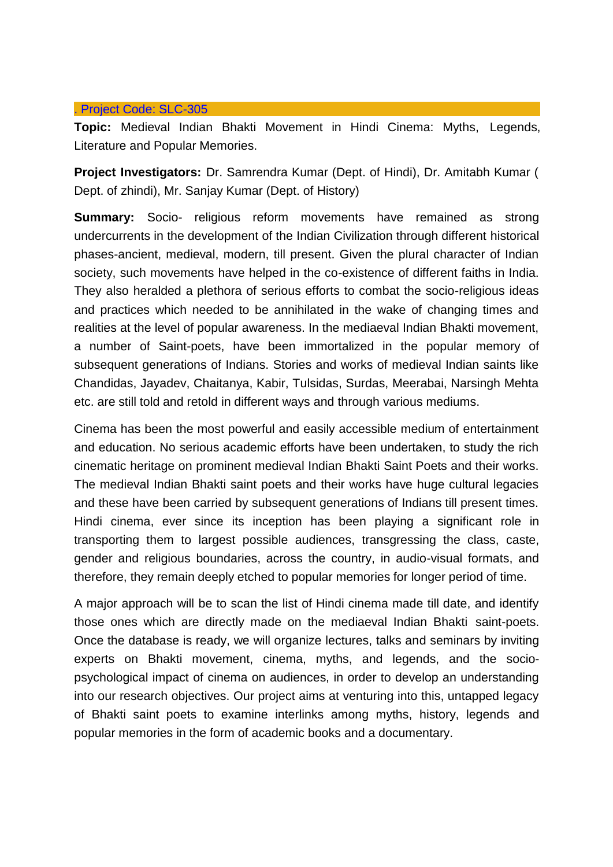## . Project Code: [SLC-305](http://slc.du.ac.in/completed-project.php#Project5)

**Topic:** Medieval Indian Bhakti Movement in Hindi Cinema: Myths, Legends, Literature and Popular Memories.

**Project Investigators:** Dr. Samrendra Kumar (Dept. of Hindi), Dr. Amitabh Kumar ( Dept. of zhindi), Mr. Sanjay Kumar (Dept. of History)

**Summary:** Socio- religious reform movements have remained as strong undercurrents in the development of the Indian Civilization through different historical phases-ancient, medieval, modern, till present. Given the plural character of Indian society, such movements have helped in the co-existence of different faiths in India. They also heralded a plethora of serious efforts to combat the socio-religious ideas and practices which needed to be annihilated in the wake of changing times and realities at the level of popular awareness. In the mediaeval Indian Bhakti movement, a number of Saint-poets, have been immortalized in the popular memory of subsequent generations of Indians. Stories and works of medieval Indian saints like Chandidas, Jayadev, Chaitanya, Kabir, Tulsidas, Surdas, Meerabai, Narsingh Mehta etc. are still told and retold in different ways and through various mediums.

Cinema has been the most powerful and easily accessible medium of entertainment and education. No serious academic efforts have been undertaken, to study the rich cinematic heritage on prominent medieval Indian Bhakti Saint Poets and their works. The medieval Indian Bhakti saint poets and their works have huge cultural legacies and these have been carried by subsequent generations of Indians till present times. Hindi cinema, ever since its inception has been playing a significant role in transporting them to largest possible audiences, transgressing the class, caste, gender and religious boundaries, across the country, in audio-visual formats, and therefore, they remain deeply etched to popular memories for longer period of time.

A major approach will be to scan the list of Hindi cinema made till date, and identify those ones which are directly made on the mediaeval Indian Bhakti saint-poets. Once the database is ready, we will organize lectures, talks and seminars by inviting experts on Bhakti movement, cinema, myths, and legends, and the sociopsychological impact of cinema on audiences, in order to develop an understanding into our research objectives. Our project aims at venturing into this, untapped legacy of Bhakti saint poets to examine interlinks among myths, history, legends and popular memories in the form of academic books and a documentary.